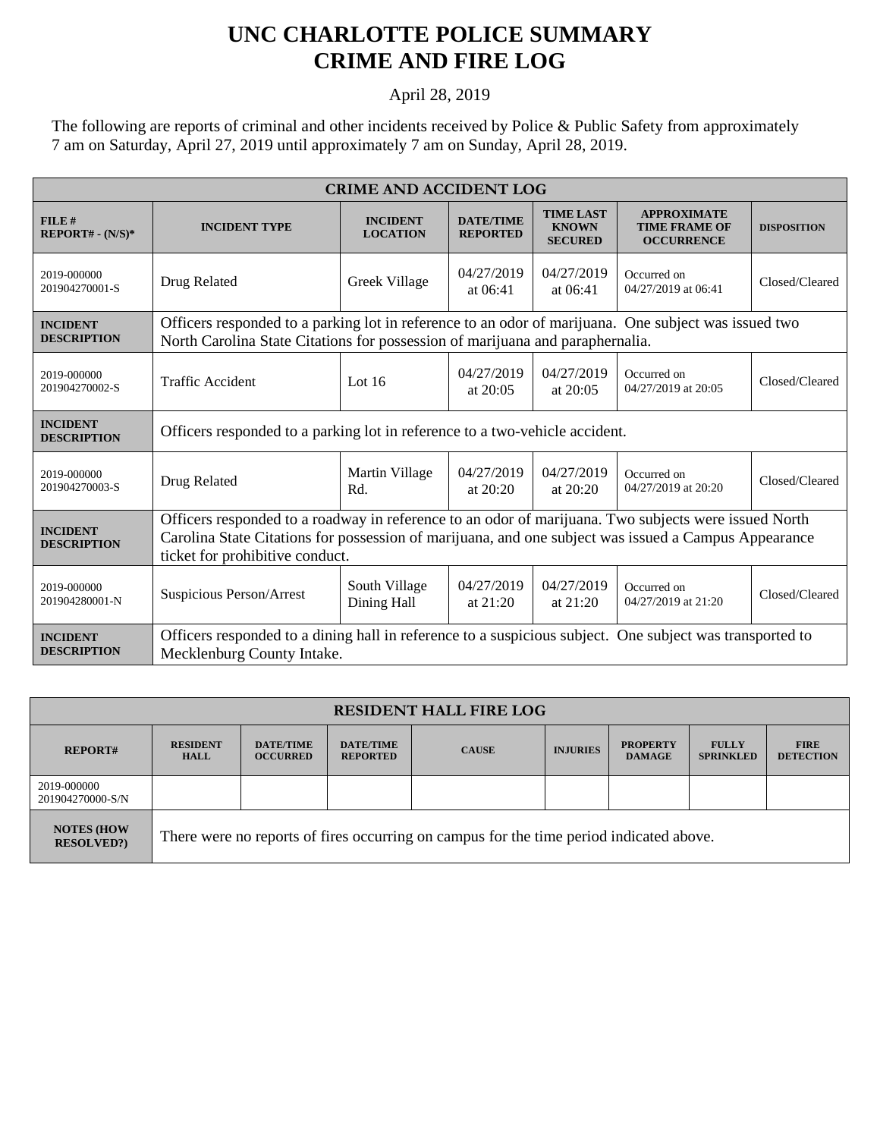## **UNC CHARLOTTE POLICE SUMMARY CRIME AND FIRE LOG**

April 28, 2019

The following are reports of criminal and other incidents received by Police & Public Safety from approximately 7 am on Saturday, April 27, 2019 until approximately 7 am on Sunday, April 28, 2019.

| <b>CRIME AND ACCIDENT LOG</b>         |                                                                                                                                                                                                                                                 |                                    |                                     |                                                    |                                                                 |                    |  |
|---------------------------------------|-------------------------------------------------------------------------------------------------------------------------------------------------------------------------------------------------------------------------------------------------|------------------------------------|-------------------------------------|----------------------------------------------------|-----------------------------------------------------------------|--------------------|--|
| FILE#<br>$REPORT# - (N/S)*$           | <b>INCIDENT TYPE</b>                                                                                                                                                                                                                            | <b>INCIDENT</b><br><b>LOCATION</b> | <b>DATE/TIME</b><br><b>REPORTED</b> | <b>TIME LAST</b><br><b>KNOWN</b><br><b>SECURED</b> | <b>APPROXIMATE</b><br><b>TIME FRAME OF</b><br><b>OCCURRENCE</b> | <b>DISPOSITION</b> |  |
| 2019-000000<br>201904270001-S         | Drug Related                                                                                                                                                                                                                                    | Greek Village                      | 04/27/2019<br>at $06:41$            | 04/27/2019<br>at $06:41$                           | Occurred on<br>04/27/2019 at 06:41                              | Closed/Cleared     |  |
| <b>INCIDENT</b><br><b>DESCRIPTION</b> | Officers responded to a parking lot in reference to an odor of marijuana. One subject was issued two<br>North Carolina State Citations for possession of marijuana and paraphernalia.                                                           |                                    |                                     |                                                    |                                                                 |                    |  |
| 2019-000000<br>201904270002-S         | <b>Traffic Accident</b>                                                                                                                                                                                                                         | Lot $16$                           | 04/27/2019<br>at $20:05$            | 04/27/2019<br>at $20:05$                           | Occurred on<br>04/27/2019 at 20:05                              | Closed/Cleared     |  |
| <b>INCIDENT</b><br><b>DESCRIPTION</b> | Officers responded to a parking lot in reference to a two-vehicle accident.                                                                                                                                                                     |                                    |                                     |                                                    |                                                                 |                    |  |
| 2019-000000<br>201904270003-S         | Drug Related                                                                                                                                                                                                                                    | Martin Village<br>Rd.              | 04/27/2019<br>at $20:20$            | 04/27/2019<br>at $20:20$                           | Occurred on<br>04/27/2019 at 20:20                              | Closed/Cleared     |  |
| <b>INCIDENT</b><br><b>DESCRIPTION</b> | Officers responded to a roadway in reference to an odor of marijuana. Two subjects were issued North<br>Carolina State Citations for possession of marijuana, and one subject was issued a Campus Appearance<br>ticket for prohibitive conduct. |                                    |                                     |                                                    |                                                                 |                    |  |
| 2019-000000<br>201904280001-N         | Suspicious Person/Arrest                                                                                                                                                                                                                        | South Village<br>Dining Hall       | 04/27/2019<br>at $21:20$            | 04/27/2019<br>at $21:20$                           | Occurred on<br>04/27/2019 at 21:20                              | Closed/Cleared     |  |
| <b>INCIDENT</b><br><b>DESCRIPTION</b> | Officers responded to a dining hall in reference to a suspicious subject. One subject was transported to<br>Mecklenburg County Intake.                                                                                                          |                                    |                                     |                                                    |                                                                 |                    |  |

| <b>RESIDENT HALL FIRE LOG</b>         |                                                                                         |                                     |                                     |              |                 |                                  |                                  |                                 |
|---------------------------------------|-----------------------------------------------------------------------------------------|-------------------------------------|-------------------------------------|--------------|-----------------|----------------------------------|----------------------------------|---------------------------------|
| <b>REPORT#</b>                        | <b>RESIDENT</b><br>HALL                                                                 | <b>DATE/TIME</b><br><b>OCCURRED</b> | <b>DATE/TIME</b><br><b>REPORTED</b> | <b>CAUSE</b> | <b>INJURIES</b> | <b>PROPERTY</b><br><b>DAMAGE</b> | <b>FULLY</b><br><b>SPRINKLED</b> | <b>FIRE</b><br><b>DETECTION</b> |
| 2019-000000<br>201904270000-S/N       |                                                                                         |                                     |                                     |              |                 |                                  |                                  |                                 |
| <b>NOTES (HOW</b><br><b>RESOLVED?</b> | There were no reports of fires occurring on campus for the time period indicated above. |                                     |                                     |              |                 |                                  |                                  |                                 |